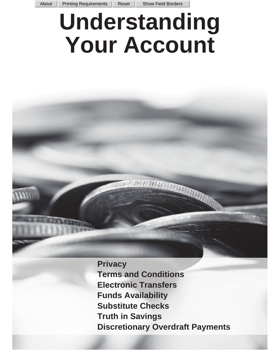# **Understanding Your Account**

**Privacy Terms and Conditions Electronic Transfers Funds Availability Substitute Checks Truth in Savings Discretionary Overdraft Payments**

**REGISTER OF A STATE OF A PARTIES**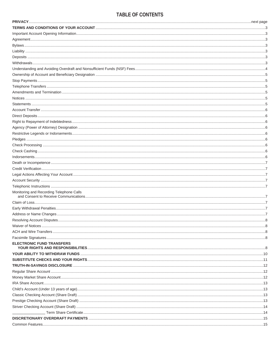# TABLE OF CONTENTS

| Monitoring and Recording Telephone Calls |  |
|------------------------------------------|--|
|                                          |  |
|                                          |  |
|                                          |  |
|                                          |  |
|                                          |  |
|                                          |  |
|                                          |  |
| <b>ELECTRONIC FUND TRANSFERS</b>         |  |
|                                          |  |
|                                          |  |
|                                          |  |
|                                          |  |
|                                          |  |
|                                          |  |
|                                          |  |
|                                          |  |
|                                          |  |
|                                          |  |
|                                          |  |
|                                          |  |
|                                          |  |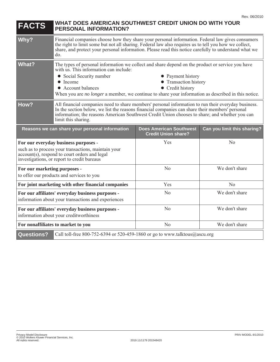| <b>FACTS</b>                                                                                                                                                                                | WHAT DOES AMERICAN SOUTHWEST CREDIT UNION DO WITH YOUR<br><b>PERSONAL INFORMATION?</b>                                                                                                                                                                                                                                                                                        |                                                              |                             |  |
|---------------------------------------------------------------------------------------------------------------------------------------------------------------------------------------------|-------------------------------------------------------------------------------------------------------------------------------------------------------------------------------------------------------------------------------------------------------------------------------------------------------------------------------------------------------------------------------|--------------------------------------------------------------|-----------------------------|--|
| Why?                                                                                                                                                                                        | Financial companies choose how they share your personal information. Federal law gives consumers<br>the right to limit some but not all sharing. Federal law also requires us to tell you how we collect,<br>share, and protect your personal information. Please read this notice carefully to understand what we<br>do.                                                     |                                                              |                             |  |
| <b>What?</b>                                                                                                                                                                                | The types of personal information we collect and share depend on the product or service you have<br>with us. This information can include:<br>• Social Security number<br>• Payment history<br>Transaction history<br>Income<br>• Account balances<br>• Credit history<br>When you are no longer a member, we continue to share your information as described in this notice. |                                                              |                             |  |
| How?                                                                                                                                                                                        | All financial companies need to share members' personal information to run their everyday business.<br>In the section below, we list the reasons financial companies can share their members' personal<br>information; the reasons American Southwest Credit Union chooses to share; and whether you can<br>limit this sharing.                                               |                                                              |                             |  |
| Reasons we can share your personal information                                                                                                                                              |                                                                                                                                                                                                                                                                                                                                                                               | <b>Does American Southwest</b><br><b>Credit Union share?</b> | Can you limit this sharing? |  |
| For our everyday business purposes -<br>such as to process your transactions, maintain your<br>account(s), respond to court orders and legal<br>investigations, or report to credit bureaus |                                                                                                                                                                                                                                                                                                                                                                               | Yes                                                          | No                          |  |
| For our marketing purposes -<br>to offer our products and services to you                                                                                                                   |                                                                                                                                                                                                                                                                                                                                                                               | N <sub>o</sub>                                               | We don't share              |  |
| For joint marketing with other financial companies                                                                                                                                          |                                                                                                                                                                                                                                                                                                                                                                               | Yes                                                          | No                          |  |
| For our affiliates' everyday business purposes -<br>information about your transactions and experiences                                                                                     |                                                                                                                                                                                                                                                                                                                                                                               | No                                                           | We don't share              |  |
| For our affiliates' everyday business purposes -<br>information about your creditworthiness                                                                                                 |                                                                                                                                                                                                                                                                                                                                                                               | N <sub>o</sub>                                               | We don't share              |  |
| N <sub>o</sub><br>For nonaffiliates to market to you                                                                                                                                        |                                                                                                                                                                                                                                                                                                                                                                               | We don't share                                               |                             |  |
| <b>Questions?</b>                                                                                                                                                                           | Call toll-free 800-752-6394 or 520-459-1860 or go to www.talktous@ascu.org                                                                                                                                                                                                                                                                                                    |                                                              |                             |  |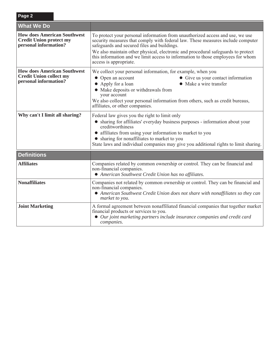| Page 2                                                                                        |                                                                                                                                                                                                                                                                                                                                                                                                                  |  |  |
|-----------------------------------------------------------------------------------------------|------------------------------------------------------------------------------------------------------------------------------------------------------------------------------------------------------------------------------------------------------------------------------------------------------------------------------------------------------------------------------------------------------------------|--|--|
| <b>What We Do</b>                                                                             |                                                                                                                                                                                                                                                                                                                                                                                                                  |  |  |
| <b>How does American Southwest</b><br><b>Credit Union protect my</b><br>personal information? | To protect your personal information from unauthorized access and use, we use<br>security measures that comply with federal law. These measures include computer<br>safeguards and secured files and buildings.<br>We also maintain other physical, electronic and procedural safeguards to protect<br>this information and we limit access to information to those employees for whom<br>access is appropriate. |  |  |
| <b>How does American Southwest</b><br><b>Credit Union collect my</b><br>personal information? | We collect your personal information, for example, when you<br>• Open an account<br>• Give us your contact information<br>Make a wire transfer<br>• Apply for a loan<br>• Make deposits or withdrawals from<br>your account<br>We also collect your personal information from others, such as credit bureaus,<br>affiliates, or other companies.                                                                 |  |  |
| Why can't I limit all sharing?                                                                | Federal law gives you the right to limit only<br>• sharing for affiliates' everyday business purposes - information about your<br>creditworthiness<br>• affiliates from using your information to market to you<br>• sharing for nonaffiliates to market to you<br>State laws and individual companies may give you additional rights to limit sharing.                                                          |  |  |
| <b>Definitions</b>                                                                            |                                                                                                                                                                                                                                                                                                                                                                                                                  |  |  |
| <b>Affiliates</b>                                                                             | Companies related by common ownership or control. They can be financial and<br>non-financial companies.<br>• American Southwest Credit Union has no affiliates.                                                                                                                                                                                                                                                  |  |  |
| <b>Nonaffiliates</b>                                                                          | Companies not related by common ownership or control. They can be financial and<br>non-financial companies.<br>• American Southwest Credit Union does not share with nonaffiliates so they can<br>market to you.                                                                                                                                                                                                 |  |  |
| <b>Joint Marketing</b>                                                                        | A formal agreement between nonaffiliated financial companies that together market<br>financial products or services to you.<br>• Our joint marketing partners include insurance companies and credit card<br>companies.                                                                                                                                                                                          |  |  |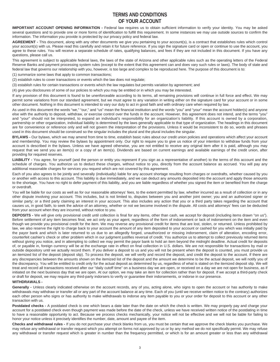# **TERMS AND CONDITIONS OF YOUR ACCOUNT**

**IMPORTANT ACCOUNT OPENING INFORMATION -** Federal law requires us to obtain sufficient information to verify your identity. You may be asked several questions and to provide one or more forms of identification to fulfill this requirement. In some instances we may use outside sources to confirm the information. The information you provide is protected by our privacy policy and federal law.

**AGREEMENT -** This document, along with any other documents we give you pertaining to your account(s), is a contract that establishes rules which control your account(s) with us. Please read this carefully and retain it for future reference. If you sign the signature card or open or continue to use the account, you agree to these rules. You will receive a separate schedule of rates, qualifying balances, and fees if they are not included in this document. If you have any questions, please call us.

This agreement is subject to applicable federal laws, the laws of the state of Arizona and other applicable rules such as the operating letters of the Federal Reserve Banks and payment processing system rules (except to the extent that this agreement can and does vary such rules or laws). The body of state and federal law that governs our relationship with you, however, is too large and complex to be reproduced here. The purpose of this document is to:

(1) summarize some laws that apply to common transactions;

(2) establish rules to cover transactions or events which the law does not regulate;

(3) establish rules for certain transactions or events which the law regulates but permits variation by agreement; and

(4) give you disclosures of some of our policies to which you may be entitled or in which you may be interested.

If any provision of this document is found to be unenforceable according to its terms, all remaining provisions will continue in full force and effect. We may permit some variations from our standard agreement, but we must agree to any variation in writing either on the signature card for your account or in some other document. Nothing in this document is intended to vary our duty to act in good faith and with ordinary care when required by law.

As used in this document the words "we," "our," and "us" mean the financial institution and the words "you" and "your" mean the account holder(s) and anyone else with the authority to deposit, withdraw, or exercise control over the funds in the account. However, this agreement does not intend, and the terms "you" and "your" should not be interpreted, to expand an individual's responsibility for an organization's liability. If this account is owned by a corporation, partnership or other organization, individual liability is determined by the laws generally applicable to that type of organization. The headings in this document are for convenience or reference only and will not govern the interpretation of the provisions. Unless it would be inconsistent to do so, words and phrases used in this document should be construed so the singular includes the plural and the plural includes the singular.

**BYLAWS -** Our bylaws, which we may amend from time to time, establish basic rules about our credit union policies and operations which affect your account and membership. You may review the bylaws by appointment only. Our right to require you to give us notice of your intention to withdraw funds from your account is described in the bylaws. Unless we have agreed otherwise, you are not entitled to receive any original item after it is paid, although you may request that we send you an item(s) or a copy of an item(s). Dividends are based on current earnings and available earnings of the credit union, after providing for required reserves.

**LIABILITY -** You agree, for yourself (and the person or entity you represent if you sign as a representative of another) to the terms of this account and the schedule of charges. You authorize us to deduct these charges, without notice to you, directly from the account balance as accrued. You will pay any additional reasonable charges for services you request which are not covered by this agreement.

Each of you also agrees to be jointly and severally (individually) liable for any account shortage resulting from charges or overdrafts, whether caused by you or another with access to this account. This liability is due immediately, and we can deduct any amounts deposited into the account and apply those amounts to the shortage. You have no right to defer payment of this liability, and you are liable regardless of whether you signed the item or benefited from the charge or overdraft.

You will be liable for our costs as well as for our reasonable attorneys' fees, to the extent permitted by law, whether incurred as a result of collection or in any other dispute involving your account. This includes, but is not limited to, disputes between you and another joint owner; you and an authorized signer or similar party; or a third party claiming an interest in your account. This also includes any action that you or a third party takes regarding the account that causes us, in good faith, to seek the advice of an attorney, whether or not we become involved in the dispute. All costs and attorneys' fees can be deducted from your account when they are incurred, without notice to you.

**DEPOSITS -** We will give only provisional credit until collection is final for any items, other than cash, we accept for deposit (including items drawn "on us"). Before settlement of any item becomes final, we act only as your agent, regardless of the form of indorsement or lack of indorsement on the item and even though we provide you provisional credit for the item. We may reverse any provisional credit for items that are lost, stolen, or returned. Unless prohibited by law, we also reserve the right to charge back to your account the amount of any item deposited to your account or cashed for you which was initially paid by the payor bank and which is later returned to us due to an allegedly forged, unauthorized or missing indorsement, claim of alteration, encoding error, counterfeit cashier's check or other problem which in our judgment justifies reversal of credit. You authorize us to attempt to collect previously returned items without giving you notice, and in attempting to collect we may permit the payor bank to hold an item beyond the midnight deadline. Actual credit for deposits of, or payable in, foreign currency will be at the exchange rate in effect on final collection in U.S. dollars. We are not responsible for transactions by mail or outside depository until we actually record them. If you deliver a deposit to us and you will not be present when the deposit is counted, you must provide us an itemized list of the deposit (deposit slip). To process the deposit, we will verify and record the deposit, and credit the deposit to the account. If there are any discrepancies between the amounts shown on the itemized list of the deposit and the amount we determine to be the actual deposit, we will notify you of the discrepancy. You will be entitled to credit only for the actual deposit as determined by us, regardless of what is stated on the itemized deposit slip. We will treat and record all transactions received after our "daily cutoff time" on a business day we are open, or received on a day we are not open for business, as if initiated on the next business day that we are open. At our option, we may take an item for collection rather than for deposit. If we accept a third-party check or draft for deposit, we may require any third-party indorsers to verify or guarantee their indorsements, or indorse in our presence.

# **WITHDRAWALS -**

Generally - Unless clearly indicated otherwise on the account records, any of you, acting alone, who signs to open the account or has authority to make withdrawals may withdraw or transfer all or any part of the account balance at any time. Each of you (until we receive written notice to the contrary) authorizes each other person who signs or has authority to make withdrawals to indorse any item payable to you or your order for deposit to this account or any other transaction with us.

Postdated checks - A postdated check is one which bears a date later than the date on which the check is written. We may properly pay and charge your account for a postdated check even though payment was made before the date of the check, unless we have received written notice of the postdating in time to have a reasonable opportunity to act. Because we process checks mechanically, your notice will not be effective and we will not be liable for failing to honor your notice unless it precisely identifies the number, date, amount and payee of the item.

**Checks and withdrawal rules -** If you do not purchase your check blanks from us, you must be certain that we approve the check blanks you purchase. We may refuse any withdrawal or transfer request which you attempt on forms not approved by us or by any method we do not specifically permit. We may refuse any withdrawal or transfer request which is greater in number than the frequency permitted, or which is for an amount greater or less than any withdrawal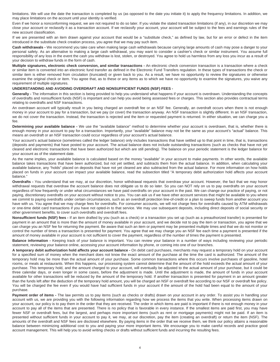limitations. We will use the date the transaction is completed by us (as opposed to the date you initiate it) to apply the frequency limitations. In addition, we may place limitations on the account until your identity is verified.

Even if we honor a nonconforming request, we are not required to do so later. If you violate the stated transaction limitations (if any), in our discretion we may close your account or reclassify it as a transaction account. If we reclassify your account, your account will be subject to the fees and earnings rules of the new account classification.

If we are presented with an item drawn against your account that would be a "substitute check," as defined by law, but for an error or defect in the item introduced in the substitute check creation process, you agree that we may pay such item.

**Cash withdrawals -** We recommend you take care when making large cash withdrawals because carrying large amounts of cash may pose a danger to your personal safety. As an alternative to making a large cash withdrawal, you may want to consider a cashier's check or similar instrument. You assume full responsibility of any loss in the event the cash you withdraw is lost, stolen, or destroyed. You agree to hold us harmless from any loss you incur as a result of your decision to withdraw funds in the form of cash.

**Multiple signatures, electronic check conversion, and similar transactions -** An electronic check conversion transaction is a transaction where a check or similar item is converted into an electronic fund transfer as defined in the Electronic Fund Transfers regulation. In these types of transactions the check or similar item is either removed from circulation (truncated) or given back to you. As a result, we have no opportunity to review the signatures or otherwise examine the original check or item. You agree that, as to these or any items as to which we have no opportunity to examine the signatures, you waive any requirement of multiple signatures.

## **UNDERSTANDING AND AVOIDING OVERDRAFT AND NONSUFFICIENT FUNDS (NSF) FEES -**

**Generally -** The information in this section is being provided to help you understand what happens if your account is overdrawn. Understanding the concepts of overdrafts and nonsufficient funds (NSF) is important and can help you avoid being assessed fees or charges. This section also provides contractual terms relating to overdrafts and NSF transactions.

An overdrawn account will typically result in you being charged an overdraft fee or an NSF fee. Generally, an overdraft occurs when there is not enough money in your account to pay for a transaction, but we pay (or cover) the transaction anyway. An NSF transaction is slightly different. In an NSF transaction, we do not cover the transaction. Instead, the transaction is rejected and the item or requested payment is returned. In either situation, we can charge you a fee.

**Determining your available balance -** We use the "available balance" method to determine whether your account is overdrawn, that is, whether there is enough money in your account to pay for a transaction. Importantly, your "available" balance may not be the same as your account's "actual" balance. This means an overdraft or an NSF transaction could occur regardless of your account's actual balance.

Your account's actual balance (sometimes called the ledger balance) only includes transactions that have settled up to that point in time, that is, transactions (deposits and payments) that have posted to your account. The actual balance does not include outstanding transactions (such as checks that have not yet cleared and electronic transactions that have been authorized but which are still pending). The balance on your periodic statement is the ledger balance for your account as of the statement date.

As the name implies, your available balance is calculated based on the money "available" in your account to make payments. In other words, the available balance takes transactions that have been authorized, but not yet settled, and subtracts them from the actual balance. In addition, when calculating your available balance, any "holds" placed on deposits that have not yet cleared are also subtracted from the actual balance. For more information on how holds placed on funds in your account can impact your available balance, read the subsection titled "A temporary debit authorization hold affects your account balance."

**Overdrafts -** You understand that we may, at our discretion, honor withdrawal requests that overdraw your account. However, the fact that we may honor withdrawal requests that overdraw the account balance does not obligate us to do so later. So you can NOT rely on us to pay overdrafts on your account regardless of how frequently or under what circumstances we have paid overdrafts on your account in the past. We can change our practice of paying, or not paying, discretionary overdrafts on your account without notice to you. You can ask us if we have other account services that might be available to you where we commit to paying overdrafts under certain circumstances, such as an overdraft protection line-of-credit or a plan to sweep funds from another account you have with us. You agree that we may charge fees for overdrafts. For consumer accounts, we will not charge fees for overdrafts caused by ATM withdrawals or one-time debit card transactions if you have not opted-in to that service. We may use subsequent deposits, including direct deposits of social security or other government benefits, to cover such overdrafts and overdraft fees.

**Nonsufficient funds (NSF) fees -** If an item drafted by you (such as a check) or a transaction you set up (such as a preauthorized transfer) is presented for payment in an amount that is more than the amount of money available in your account, and we decide not to pay the item or transaction, you agree that we can charge you an NSF fee for returning the payment. Be aware that such an item or payment may be presented multiple times and that we do not monitor or control the number of times a transaction is presented for payment. You agree that we may charge you an NSF fee each time a payment is presented if the amount of money available in your account is not sufficient to cover the payment, regardless of the number of times the payment is presented.

Balance information - Keeping track of your balance is important. You can review your balance in a number of ways including reviewing your periodic statement, reviewing your balance online, accessing your account information by phone, or coming into one of our branches.

**A temporary debit authorization hold affects your account balance -** On debit card purchases, merchants may request a temporary hold on your account for a specified sum of money when the merchant does not know the exact amount of the purchase at the time the card is authorized. The amount of the temporary hold may be more than the actual amount of your purchase. Some common transactions where this occurs involve purchases of gasoline, hotel rooms, or meals at restaurants. When this happens, our processing system cannot determine that the amount of the hold exceeds the actual amount of your purchase. This temporary hold, and the amount charged to your account, will eventually be adjusted to the actual amount of your purchase, but it could be three calendar days, or even longer in some cases, before the adjustment is made. Until the adjustment is made, the amount of funds in your account available for other transactions will be reduced by the amount of the temporary hold. If another transaction is presented for payment in an amount greater than the funds left after the deduction of the temporary hold amount, you will be charged an NSF or overdraft fee according to our NSF or overdraft fee policy. You will be charged the fee even if you would have had sufficient funds in your account if the amount of the hold had been equal to the amount of your purchase.

Payment order of items - The law permits us to pay items (such as checks or drafts) drawn on your account in any order. To assist you in handling your account with us, we are providing you with the following information regarding how we process the items that you write. When processing items drawn on your account, our policy is to pay them in the order that they are received. The order in which items are paid is important if there is not enough money in your account to pay all of the items that are presented. There is no policy that is favorable in every instance. If the smallest items are paid first, you may have fewer NSF or overdraft fees, but the largest, and perhaps more important items (such as rent or mortgage payments) might not be paid. If an item is presented without sufficient funds in your account to pay it, we may, at our discretion, pay the item (creating an overdraft) or return the item (NSF). The amounts of the overdraft and NSF fees are disclosed elsewhere. By paying items in the order that we receive them, we think our policy attains a reasonable balance between minimizing additional cost to you and paying your more important items. We encourage you to make careful records and practice good account management. This will help you to avoid writing checks or drafts without sufficient funds and incurring the resulting fees.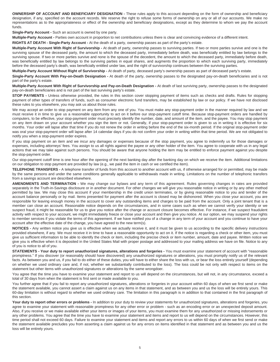**OWNERSHIP OF ACCOUNT AND BENEFICIARY DESIGNATION -** These rules apply to this account depending on the form of ownership and beneficiary designation, if any, specified on the account records. We reserve the right to refuse some forms of ownership on any or all of our accounts. We make no representations as to the appropriateness or effect of the ownership and beneficiary designations, except as they determine to whom we pay the account funds.

**Single-Party Account -** Such an account is owned by one party.

**Multiple-Party Account -** Parties own account in proportion to net contributions unless there is clear and convincing evidence of a different intent.

**RIGHTS AT DEATH - Single-Party Account -** At the death of a party, ownership passes as part of the party's estate.

**Multiple-Party Account With Right of Survivorship -** At death of party, ownership passes to surviving parties. If two or more parties survive and one is the surviving spouse of the deceased party, the amount to which the deceased party, immediately before death, was beneficially entitled by law belongs to the surviving spouse. If two or more parties survive and none is the spouse of the decedent, the amount to which the deceased party, immediately before death, was beneficially entitled by law belongs to the surviving parties in equal shares, and augments the proportion to which each surviving party, immediately before the deceased party's death, was beneficially entitled under law, and the right of survivorship continues between the surviving parties.

**Multiple-Party Account Without Right of Survivorship -** At death of party, deceased party's ownership passes as part of deceased party's estate.

**Single-Party Account With Pay-on-Death Designation -** At death of the party, ownership passes to the designated pay-on-death beneficiaries and is not part of the party's estate.

**Multiple-Party Account With Right of Survivorship and Pay-on-Death Designation -** At death of last surviving party, ownership passes to the designated pay-on-death beneficiaries and is not part of the last surviving party's estate.

**STOP PAYMENTS** - Unless otherwise provided, the rules in this section cover stopping payment of items such as checks and drafts. Rules for stopping payment of other types of transfers of funds, such as consumer electronic fund transfers, may be established by law or our policy. If we have not disclosed these rules to you elsewhere, you may ask us about those rules.

We may accept an order to stop payment on any item from any one of you. You must make any stop-payment order in the manner required by law and we must receive it in time to give us a reasonable opportunity to act on it before our stop-payment cutoff time. Because stop-payment orders are handled by computers, to be effective, your stop-payment order must precisely identify the number, date, and amount of the item, and the payee. You may stop payment on any item drawn on your account whether you sign the item or not. Generally, if your stop-payment order is given to us in writing it is effective for six months. Your order will lapse after that time if you do not renew the order in writing before the end of the six-month period. If the original stop-payment order was oral your stop-payment order will lapse after 14 calendar days if you do not confirm your order in writing within that time period. We are not obligated to notify you when a stop-payment order expires.

If you stop payment on an item and we incur any damages or expenses because of the stop payment, you agree to indemnify us for those damages or expenses, including attorneys' fees. You assign to us all rights against the payee or any other holder of the item. You agree to cooperate with us in any legal actions that we may take against such persons. You should be aware that anyone holding the item may be entitled to enforce payment against you despite the stop-payment order.

Our stop-payment cutoff time is one hour after the opening of the next banking day after the banking day on which we receive the item. Additional limitations on our obligation to stop payment are provided by law (e.g., we paid the item in cash or we certified the item).

**TELEPHONE TRANSFERS -** A telephone transfer of funds from this account to another account with us, if otherwise arranged for or permitted, may be made by the same persons and under the same conditions generally applicable to withdrawals made in writing. Limitations on the number of telephonic transfers from a savings account are described elsewhere.

**AMENDMENTS AND TERMINATION -** We may change our bylaws and any term of this agreement. Rules governing changes in rates are provided separately in the Truth-in-Savings disclosure or in another document. For other changes we will give you reasonable notice in writing or by any other method permitted by law. We may close this account if your membership in the credit union terminates, or by giving reasonable notice to you and tender of the account balance personally or by mail. Items presented for payment after the account is closed may be dishonored. When you close your account, you are responsible for leaving enough money in the account to cover any outstanding items and charges to be paid from the account. Only a joint tenant that is a member can close an account. Reasonable notice depends on the circumstances, and in some cases such as when we cannot verify your identity or we suspect fraud, it might be reasonable for us to give you notice after the change or account closure becomes effective. For instance, if we suspect fraudulent activity with respect to your account, we might immediately freeze or close your account and then give you notice. At our option, we may suspend your rights to member services if you violate the terms of this agreement. If we have notified you of a change in any term of your account and you continue to have your account after the effective date of the change, you have agreed to the new term(s).

**NOTICES -** Any written notice you give us is effective when we actually receive it, and it must be given to us according to the specific delivery instructions provided elsewhere, if any. We must receive it in time to have a reasonable opportunity to act on it. If the notice is regarding a check or other item, you must give us sufficient information to be able to identify the check or item, including the precise check or item number, amount, date and payee. Written notice we give you is effective when it is deposited in the United States Mail with proper postage and addressed to your mailing address we have on file. Notice to any of you is notice to all of you.

**STATEMENTS - Your duty to report unauthorized signatures, alterations and forgeries - You must examine your statement of account with "reasonable** promptness." If you discover (or reasonably should have discovered) any unauthorized signatures or alterations, you must promptly notify us of the relevant facts. As between you and us, if you fail to do either of these duties, you will have to either share the loss with us, or bear the loss entirely yourself (depending on whether we used ordinary care and, if not, whether we substantially contributed to the loss). The loss could be not only with respect to items on the statement but other items with unauthorized signatures or alterations by the same wrongdoer.

You agree that the time you have to examine your statement and report to us will depend on the circumstances, but will not, in any circumstance, exceed a total of 30 days from when the statement is first sent or made available to you.

You further agree that if you fail to report any unauthorized signatures, alterations or forgeries in your account within 60 days of when we first send or make the statement available, you cannot assert a claim against us on any items in that statement, and as between you and us the loss will be entirely yours. This 60-day limitation is without regard to whether we used ordinary care. The limitation in this paragraph is in addition to that contained in the first paragraph of this section.

Your duty to report other errors or problems - In addition to your duty to review your statements for unauthorized signatures, alterations and forgeries, you agree to examine your statement with reasonable promptness for any other error or problem - such as an encoding error or an unexpected deposit amount. Also, if you receive or we make available either your items or images of your items, you must examine them for any unauthorized or missing indorsements or any other problems. You agree that the time you have to examine your statement and items and report to us will depend on the circumstances. However, this time period shall not exceed 60 days. Failure to examine your statement and items and report any errors to us within 60 days of when we first send or make the statement available precludes you from asserting a claim against us for any errors on items identified in that statement and as between you and us the loss will be entirely yours.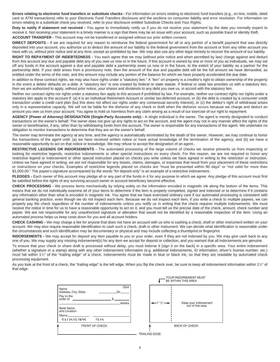**Errors relating to electronic fund transfers or substitute checks -** For information on errors relating to electronic fund transfers (e.g., on-line, mobile, debit card or ATM transactions) refer to your Electronic Fund Transfers disclosure and the sections on consumer liability and error resolution. For information on errors relating to a substitute check you received, refer to your disclosure entitled Substitute Checks and Your Rights.

**Duty to notify if statement not received -** You agree to immediately notify us if you do not receive your statement by the date you normally expect to receive it. Not receiving your statement in a timely manner is a sign that there may be an issue with your account, such as possible fraud or identity theft. **ACCOUNT TRANSFER -** This account may not be transferred or assigned without our prior written consent.

**DIRECT DEPOSITS -** If we are required for any reason to reimburse the federal government for all or any portion of a benefit payment that was directly deposited into your account, you authorize us to deduct the amount of our liability to the federal government from the account or from any other account you have with us, without prior notice and at any time, except as prohibited by law. We may also use any other legal remedy to recover the amount of our liability.

**RIGHT TO REPAYMENT OF INDEBTEDNESS -** You each agree that we may (without prior notice and when permitted by law) charge against and deduct from this account any due and payable debt any of you owe us now or in the future. If this account is owned by one or more of you as individuals, we may set off any funds in the account against a due and payable debt a partnership owes us now or in the future, to the extent of your liability as a partner for the partnership debt. If your debt arises from a promissory note, then the amount of the due and payable debt will be the full amount we have demanded, as entitled under the terms of the note, and this amount may include any portion of the balance for which we have properly accelerated the due date.

In addition to these contract rights, we may also have rights under a "statutory lien." A "lien" on property is a creditor's right to obtain ownership of the property in the event a debtor defaults on a debt. A "statutory lien" is one created by federal or state statute. If federal or state law provides us with a statutory lien, then we are authorized to apply, without prior notice, your shares and dividends to any debt you owe us, in accord with the statutory lien.

Neither our contract rights nor rights under a statutory lien apply to this account if prohibited by law. For example, neither our contract rights nor rights under a statutory lien apply to this account if: (a) it is an Individual Retirement Account or similar tax-deferred account, or (b) the debt is created by a consumer credit transaction under a credit card plan (but this does not affect our rights under any consensual security interest), or (c) the debtor's right of withdrawal arises only in a representative capacity. We will not be liable for the dishonor of any check or draft when the dishonor occurs because we charge and deduct an amount you owe us from your account. You agree to hold us harmless from any claim arising as a result of our exercise of our right to repayment.

**AGENCY (Power of Attorney) DESIGNATION (Single-Party Accounts only) -** A single individual is the owner. The agent is merely designated to conduct transactions on the owner's behalf. The owner does not give up any rights to act on the account, and the agent may not in any manner affect the rights of the owner or beneficiaries, if any, other than by withdrawing funds from the account. The owner is responsible for any transactions of the agent. We undertake no obligation to monitor transactions to determine that they are on the owner's behalf.

The owner may terminate the agency at any time, and the agency is automatically terminated by the death of the owner. However, we may continue to honor the transactions of the agent until: (a) we have received written notice or have actual knowledge of the termination of the agency, and (b) we have a reasonable opportunity to act on that notice or knowledge. We may refuse to accept the designation of an agent..

**RESTRICTIVE LEGENDS OR INDORSEMENTS -** The automated processing of the large volume of checks we receive prevents us from inspecting or looking for restrictive legends, restrictive indorsements or other special instructions on every check. For this reason, we are not required to honor any restrictive legend or indorsement or other special instruction placed on checks you write unless we have agreed in writing to the restriction or instruction. Unless we have agreed in writing, we are not responsible for any losses, claims, damages, or expenses that result from your placement of these restrictions or instructions on your checks. Examples of restrictive legends placed on checks are "must be presented within 90 days" or "not valid for more than \$1,000.00." The payee's signature accompanied by the words "for deposit only" is an example of a restrictive indorsement.

**PLEDGES -** Each owner of this account may pledge all or any part of the funds in it for any purpose to which we agree. Any pledge of this account must first be satisfied before the rights of any surviving account owner or account beneficiary become effective.

**CHECK PROCESSING -** We process items mechanically by relying solely on the information encoded in magnetic ink along the bottom of the items. This means that we do not individually examine all of your items to determine if the item is properly completed, signed and indorsed or to determine if it contains any information other than what is encoded in magnetic ink. You agree that we have exercised ordinary care if our automated processing is consistent with general banking practice, even though we do not inspect each item. Because we do not inspect each item, if you write a check to multiple payees, we can properly pay the check regardless of the number of indorsements unless you notify us in writing that the check requires multiple indorsements. We must receive the notice in time for us to have a reasonable opportunity to act on it, and you must tell us the precise date of the check, amount, check number and payee. We are not responsible for any unauthorized signature or alteration that would not be identified by a reasonable inspection of the item. Using an automated process helps us keep costs down for you and all account holders.

**CHECK CASHING -** We may charge a fee for anyone that does not have an account with us who is cashing a check, draft or other instrument written on your account. We may also require reasonable identification to cash such a check, draft or other instrument. We can decide what identification is reasonable under the circumstances and such identification may be documentary or physical and may include collecting a thumbprint or fingerprint.

**INDORSEMENTS -** We may accept for deposit any item payable to you or your order, even if they are not indorsed by you. We may give cash back to any one of you. We may supply any missing indorsement(s) for any item we accept for deposit or collection, and you warrant that all indorsements are genuine.

To ensure that your check or share draft is processed without delay, you must indorse it (sign it on the back) in a specific area. Your entire indorsement (whether a signature or a stamp) along with any other indorsement information (e.g. additional indorsements, ID information, driver's license number, etc.) must fall within 11 /2" of the "trailing edge" of a check. Indorsements must be made in blue or black ink, so that they are readable by automated check processing equipment.

As you look at the front of a check, the "trailing edge" is the left edge. When you flip the check over, be sure to keep all indorsement information within 1½" of that edge.

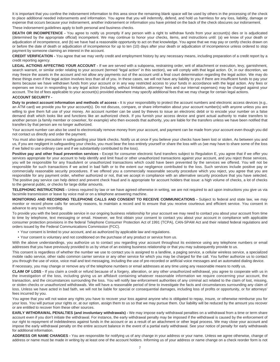It is important that you confine the indorsement information to this area since the remaining blank space will be used by others in the processing of the check to place additional needed indorsements and information. You agree that you will indemnify, defend, and hold us harmless for any loss, liability, damage or expense that occurs because your indorsement, another indorsement or information you have printed on the back of the check obscures our indorsement. These indorsement guidelines apply to both personal and business checks.

**DEATH OR INCOMPETENCE -** You agree to notify us promptly if any person with a right to withdraw funds from your account(s) dies or is adjudicated (determined by the appropriate official) incompetent. We may continue to honor your checks, items, and instructions until: (a) we know of your death or adjudication of incompetence, and (b) we have had a reasonable opportunity to act on that knowledge. You agree that we may pay or certify checks drawn on or before the date of death or adjudication of incompetence for up to ten (10) days after your death or adjudication of incompetence unless ordered to stop payment by someone claiming an interest in the account.

**CREDIT VERIFICATION -** You agree that we may verify credit and employment history by any necessary means, including preparation of a credit report by a credit reporting agency.

LEGAL ACTIONS AFFECTING YOUR ACCOUNT - If we are served with a subpoena, restraining order, writ of attachment or execution, levy, garnishment, search warrant, or similar order relating to your account (termed "legal action" in this section), we will comply with that legal action. Or, in our discretion, we may freeze the assets in the account and not allow any payments out of the account until a final court determination regarding the legal action. We may do these things even if the legal action involves less than all of you. In these cases, we will not have any liability to you if there are insufficient funds to pay your items because we have withdrawn funds from your account or in any way restricted access to your funds in accordance with the legal action. Any fees or expenses we incur in responding to any legal action (including, without limitation, attorneys' fees and our internal expenses) may be charged against your account. The list of fees applicable to your account(s) provided elsewhere may specify additional fees that we may charge for certain legal actions.

# **ACCOUNT SECURITY -**

**Duty to protect account information and methods of access -** It is your responsibility to protect the account numbers and electronic access devices (e.g., an ATM card) we provide you for your account(s). Do not discuss, compare, or share information about your account number(s) with anyone unless you are willing to give them full use of your money. An account number can be used by thieves to issue an electronic debit or to encode your number on a false demand draft which looks like and functions like an authorized check. If you furnish your access device and grant actual authority to make transfers to another person (a family member or coworker, for example) who then exceeds that authority, you are liable for the transfers unless we have been notified that transfers by that person are no longer authorized.

Your account number can also be used to electronically remove money from your account, and payment can be made from your account even though you did not contact us directly and order the payment.

You must also take precaution in safeguarding your blank checks. Notify us at once if you believe your checks have been lost or stolen. As between you and us, if you are negligent in safeguarding your checks, you must bear the loss entirely yourself or share the loss with us (we may have to share some of the loss if we failed to use ordinary care and if we substantially contributed to the loss).

Positive pay and other fraud prevention services - Except for consumer electronic fund transfers subject to Regulation E, you agree that if we offer you services appropriate for your account to help identify and limit fraud or other unauthorized transactions against your account, and you reject those services, you will be responsible for any fraudulent or unauthorized transactions which could have been prevented by the services we offered. You will not be responsible for such transactions if we acted in bad faith or to the extent our negligence contributed to the loss. Such services include positive pay or commercially reasonable security procedures. If we offered you a commercially reasonable security procedure which you reject, you agree that you are responsible for any payment order, whether authorized or not, that we accept in compliance with an alternative security procedure that you have selected. The positive pay service can help detect and prevent check fraud and is appropriate for account holders that issue: a high volume of checks, a lot of checks to the general public, or checks for large dollar amounts.

**TELEPHONIC INSTRUCTIONS -** Unless required by law or we have agreed otherwise in writing, we are not required to act upon instructions you give us via facsimile transmission or leave by voice mail or on a telephone answering machine.

**MONITORING AND RECORDING TELEPHONE CALLS AND CONSENT TO RECEIVE COMMUNICATIONS - Subject to federal and state law, we may** monitor or record phone calls for security reasons, to maintain a record and to ensure that you receive courteous and efficient service. You consent in advance to any such recording.

To provide you with the best possible service in our ongoing business relationship for your account we may need to contact you about your account from time to time by telephone, text messaging or email. However, we first obtain your consent to contact you about your account in compliance with applicable consumer protection provisions in the federal Telephone Consumer Protection Act of 1991 (TCPA), CAN-SPAM Act and their related federal regulations and orders issued by the Federal Communications Commission (FCC).

- Your consent is limited to your account, and as authorized by applicable law and regulations.
- Your consent is voluntary and not conditioned on the purchase of any product or service from us.

With the above understandings, you authorize us to contact you regarding your account throughout its existence using any telephone numbers or email addresses that you have previously provided to us by virtue of an existing business relationship or that you may subsequently provide to us.

This consent is regardless of whether the number we use to contact you is assigned to a landline, a paging service, a cellular wireless service, a specialized mobile radio service, other radio common carrier service or any other service for which you may be charged for the call. You further authorize us to contact you through the use of voice, voice mail and text messaging, including the use of pre-recorded or artificial voice messages and an automated dialing device.

If necessary, you may change or remove any of the telephone numbers or email addresses at any time using any reasonable means to notify us.

**CLAIM OF LOSS -** If you claim a credit or refund because of a forgery, alteration, or any other unauthorized withdrawal, you agree to cooperate with us in the investigation of the loss, including giving us an affidavit containing whatever reasonable information we require concerning your account, the transaction, and the circumstances surrounding the loss. You will notify law enforcement authorities of any criminal act related to the claim of lost, missing, or stolen checks or unauthorized withdrawals. We will have a reasonable period of time to investigate the facts and circumstances surrounding any claim of loss. Unless we have acted in bad faith, we will not be liable for special or consequential damages, including loss of profits or opportunity, or for attorneys' fees incurred by you.

You agree that you will not waive any rights you have to recover your loss against anyone who is obligated to repay, insure, or otherwise reimburse you for your loss. You will pursue your rights or, at our option, assign them to us so that we may pursue them. Our liability will be reduced by the amount you recover or are entitled to recover from these other sources.

**EARLY WITHDRAWAL PENALTIES (and involuntary withdrawals) -** We may impose early withdrawal penalties on a withdrawal from a time or term share account even if you don't initiate the withdrawal. For instance, the early withdrawal penalty may be imposed if the withdrawal is caused by the enforcement of our right to repayment of indebtedness against funds in the account or as a result of an attachment or other legal process. We may close your account and impose the early withdrawal penalty on the entire account balance in the event of a partial early withdrawal. See your notice of penalty for early withdrawals for additional information.

**ADDRESS OR NAME CHANGES -** You are responsible for notifying us of any change in your address or your name. Unless we agree otherwise, change of address or name must be made in writing by at least one of the account holders. Informing us of your address or name change on a check reorder form is not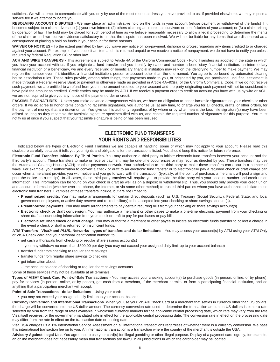sufficient. We will attempt to communicate with you only by use of the most recent address you have provided to us. If provided elsewhere, we may impose a service fee if we attempt to locate you.

**RESOLVING ACCOUNT DISPUTES** - We may place an administrative hold on the funds in your account (refuse payment or withdrawal of the funds) if it becomes subject to a claim adverse to (1) your own interest; (2) others claiming an interest as survivors or beneficiaries of your account; or (3) a claim arising by operation of law. The hold may be placed for such period of time as we believe reasonably necessary to allow a legal proceeding to determine the merits of the claim or until we receive evidence satisfactory to us that the dispute has been resolved. We will not be liable for any items that are dishonored as a consequence of placing a hold on funds in your account for these reasons.

**WAIVER OF NOTICES -** To the extent permitted by law, you waive any notice of non-payment, dishonor or protest regarding any items credited to or charged against your account. For example, if you deposit an item and it is returned unpaid or we receive a notice of nonpayment, we do not have to notify you unless required by federal Regulation CC or other law.

**ACH AND WIRE TRANSFERS -** This agreement is subject to Article 4A of the Uniform Commercial Code - Fund Transfers as adopted in the state in which you have your account with us. If you originate a fund transfer and you identify by name and number a beneficiary financial institution, an intermediary financial institution or a beneficiary, we and every receiving or beneficiary financial institution may rely on the identifying number to make payment. We may rely on the number even if it identifies a financial institution, person or account other than the one named. You agree to be bound by automated clearing house association rules. These rules provide, among other things, that payments made to you, or originated by you, are provisional until final settlement is made through a Federal Reserve Bank or payment is otherwise made as provided in Article 4A-403(a) of the Uniform Commercial Code. If we do not receive such payment, we are entitled to a refund from you in the amount credited to your account and the party originating such payment will not be considered to have paid the amount so credited. Credit entries may be made by ACH. If we receive a payment order to credit an account you have with us by wire or ACH, we are not required to give you any notice of the payment order or credit.

FACSIMILE SIGNATURES - Unless you make advance arrangements with us, we have no obligation to honor facsimile signatures on your checks or other orders. If we do agree to honor items containing facsimile signatures, you authorize us, at any time, to charge you for all checks, drafts, or other orders, for the payment of money, that are drawn on us. You give us this authority regardless of by whom or by what means the facsimile signature(s) may have been affixed so long as they resemble the facsimile signature specimen filed with us, and contain the required number of signatures for this purpose. You must notify us at once if you suspect that your facsimile signature is being or has been misused.

# **ELECTRONIC FUND TRANSFERS YOUR RIGHTS AND RESPONSIBILITIES**

—————————————

Indicated below are types of Electronic Fund Transfers we are capable of handling, some of which may not apply to your account. Please read this disclosure carefully because it tells you your rights and obligations for the transactions listed. You should keep this notice for future reference.

**Electronic Fund Transfers Initiated By Third Parties.** You may authorize a third party to initiate electronic fund transfers between your account and the third party's account. These transfers to make or receive payment may be one-time occurrences or may recur as directed by you. These transfers may use the Automated Clearing House (ACH) or other payments network. Your authorization to the third party to make these transfers can occur in a number of ways. For example, your authorization to convert a check or draft to an electronic fund transfer or to electronically pay a returned check or draft charge can occur when a merchant provides you with notice and you go forward with the transaction (typically, at the point of purchase, a merchant will post a sign and print the notice on a receipt). In all cases, these third party transfers will require you to provide the third party with your account number and credit union information. This information can be found on your check or draft as well as on a deposit or withdrawal slip. Thus, you should only provide your credit union and account information (whether over the phone, the Internet, or via some other method) to trusted third parties whom you have authorized to initiate these electronic fund transfers. Examples of these transfers include, but are not limited to:

- **Preauthorized credits.** You may make arrangements for certain direct deposits (such as U.S. Treasury (Social Security), Federal, State, and local government employees, or active duty reserve and retired military) to be accepted into your checking or share savings account(s).
- **Preauthorized payments.** You may make arrangements to pay certain recurring bills from your checking or share savings account(s).
- **Electronic check or draft conversion.** You may authorize a merchant or other payee to make a one-time electronic payment from your checking or share draft account using information from your check or draft to pay for purchases or pay bills.
- **Electronic returned check or draft charge.** You may authorize a merchant or other payee to initiate an electronic funds transfer to collect a charge in the event a check or draft is returned for insufficient funds.

**ATM Transfers - Visa® and** *PLUS***® Networks - types of transfers and dollar limitations -** You may access your account(s) by ATM using your ATM Only or VISA Check card and your personal identification number, to:

- **•** get cash withdrawals from checking or regular share savings account(s)
	- **-** you may withdraw no more than \$500.00 per day (you may not exceed your assigned daily limit up to your account balance)
- **•** transfer funds from checking to regular share savings
- **•** transfer funds from regular share savings to checking
- **•** get information about:
- **-** the account balance of checking or regular share savings accounts

Some of these services may not be available at all terminals.

**Types of VISA® Check Card Point-of-Sale Transactions -** You may access your checking account(s) to purchase goods (in person, online, or by phone), pay for services (in person, online, or by phone), get cash from a merchant, if the merchant permits, or from a participating financial institution, and do anything that a participating merchant will accept.

**Point-of-Sale Transactions - dollar limitations -** Using your card:

**•** you may not exceed your assigned daily limit up to your account balance

**Currency Conversion and International Transactions.** When you use your VISA® Check Card at a merchant that settles in currency other than US dollars, the charge will be converted into the US dollar amount. The currency conversion rate used to determine the transaction amount in US dollars is either a rate selected by Visa from the range of rates available in wholesale currency markets for the applicable central processing date, which rate may vary from the rate Visa itself receives, or the government-mandated rate in effect for the applicable central processing date. The conversion rate in effect on the processing date may differ from the rate in effect on the transaction date or posting date.

Visa USA charges us a 1% International Service Assessment on all international transactions regardless of whether there is a currency conversion. We pass this international transaction fee on to you. An international transaction is a transaction where the country of the merchant is outside the USA.

**Advisory Against Illegal Use.** You agree not to use your card(s) for illegal gambling or other illegal purpose. Display of a payment card logo by, for example, an online merchant does not necessarily mean that transactions are lawful in all jurisdictions in which the cardholder may be located.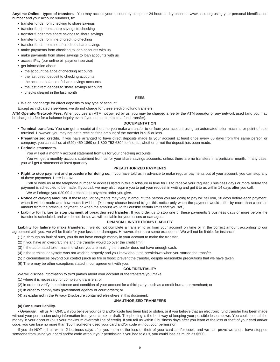**Anytime Online - types of transfers -** You may access your account by computer 24 hours a day online at www.ascu.org using your personal identification number and your account numbers, to:

- **•** transfer funds from checking to share savings
- **•** transfer funds from share savings to checking
- **•** transfer funds from share savings to share savings
- **•** transfer funds from line of credit to checking
- **•** transfer funds from line of credit to share savings
- **•** make payments from checking to loan accounts with us
- **•** make payments from share savings to loan accounts with us
- **•** access iPay (our online bill payment service)
- **•** get information about:
- **-** the account balance of checking accounts
- **-** the last direct deposit to checking accounts
- **-** the account balance of share savings accounts
- **-** the last direct deposit to share savings accounts
- **-** checks cleared in the last month

#### **FEES**

**•** We do not charge for direct deposits to any type of account.

Except as indicated elsewhere, we do not charge for these electronic fund transfers.

**ATM Operator/Network Fees.** When you use an ATM not owned by us, you may be charged a fee by the ATM operator or any network used (and you may be charged a fee for a balance inquiry even if you do not complete a fund transfer).

# **DOCUMENTATION**

- **Terminal transfers.** You can get a receipt at the time you make a transfer to or from your account using an automated teller machine or point-of-sale terminal. However, you may not get a receipt if the amount of the transfer is \$15 or less.
- **Preauthorized credits.** If you have arranged to have direct deposits made to your account at least once every 60 days from the same person or company, you can call us at (520) 459-1860 or 1-800-752-6394 to find out whether or not the deposit has been made.
- **Periodic statements.**

You will get a monthly account statement from us for your checking accounts.

You will get a monthly account statement from us for your share savings accounts, unless there are no transfers in a particular month. In any case, you will get a statement at least quarterly.

# **PREAUTHORIZED PAYMENTS**

**• Right to stop payment and procedure for doing so.** If you have told us in advance to make regular payments out of your account, you can stop any of these payments. Here is how:

Call or write us at the telephone number or address listed in this disclosure in time for us to receive your request 3 business days or more before the payment is scheduled to be made. If you call, we may also require you to put your request in writing and get it to us within 14 days after you call.

We will charge you \$20.00 for each stop-payment order you give.

- **Notice of varying amounts.** If these regular payments may vary in amount, the person you are going to pay will tell you, 10 days before each payment, when it will be made and how much it will be. (You may choose instead to get this notice only when the payment would differ by more than a certain amount from the previous payment, or when the amount would fall outside certain limits that you set.)
- **Liability for failure to stop payment of preauthorized transfer.** If you order us to stop one of these payments 3 business days or more before the transfer is scheduled, and we do not do so, we will be liable for your losses or damages.

#### **FINANCIAL INSTITUTION'S LIABILITY**

Liability for failure to make transfers. If we do not complete a transfer to or from your account on time or in the correct amount according to our agreement with you, we will be liable for your losses or damages. However, there are some exceptions. We will not be liable, for instance:

- (1) If, through no fault of ours, you do not have enough money in your account to make the transfer.
- (2) If you have an overdraft line and the transfer would go over the credit limit.
- (3) If the automated teller machine where you are making the transfer does not have enough cash.
- (4) If the terminal or system was not working properly and you knew about the breakdown when you started the transfer.
- (5) If circumstances beyond our control (such as fire or flood) prevent the transfer, despite reasonable precautions that we have taken.
- (6) There may be other exceptions stated in our agreement with you.

#### **CONFIDENTIALITY**

We will disclose information to third parties about your account or the transfers you make:

(1) where it is necessary for completing transfers; or

- (2) in order to verify the existence and condition of your account for a third party, such as a credit bureau or merchant; or
- (3) in order to comply with government agency or court orders; or
- (4) as explained in the Privacy Disclosure contained elsewhere in this document.

# **UNAUTHORIZED TRANSFERS**

# **(a) Consumer liability.**

**•** *Generally.* Tell us AT ONCE if you believe your card and/or code has been lost or stolen, or if you believe that an electronic fund transfer has been made without your permission using information from your check or draft. Telephoning is the best way of keeping your possible losses down. You could lose all the money in your account (plus your maximum overdraft line of credit). If you tell us within 2 business days after you learn of the loss or theft of your card and/or code, you can lose no more than \$50 if someone used your card and/or code without your permission.

If you do NOT tell us within 2 business days after you learn of the loss or theft of your card and/or code, and we can prove we could have stopped someone from using your card and/or code without your permission if you had told us, you could lose as much as \$500.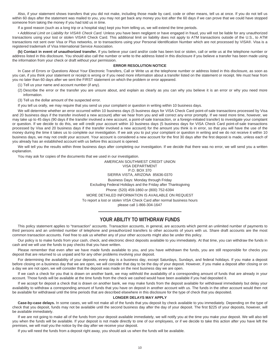Also, if your statement shows transfers that you did not make, including those made by card, code or other means, tell us at once. If you do not tell us within 60 days after the statement was mailed to you, you may not get back any money you lost after the 60 days if we can prove that we could have stopped someone from taking the money if you had told us in time.

If a good reason (such as a long trip or a hospital stay) kept you from telling us, we will extend the time periods.

• *Additional Limit on Liability for VISA® Check Card.* Unless you have been negligent or have engaged in fraud, you will not be liable for any unauthorized transactions using your lost or stolen VISA® Check Card. This additional limit on liability does not apply to ATM transactions outside of the U.S., to ATM transactions not sent over Visa or Plus networks, or to transactions using your Personal Identification Number which are not processed by VISA®. Visa is a registered trademark of Visa International Service Association.

**(b) Contact in event of unauthorized transfer.** If you believe your card and/or code has been lost or stolen, call or write us at the telephone number or address listed in this disclosure. You should also call the number or write to the address listed in this disclosure if you believe a transfer has been made using the information from your check or draft without your permission.

# **ERROR RESOLUTION NOTICE**

In Case of Errors or Questions About Your Electronic Transfers, Call or Write us at the telephone number or address listed in this disclosure, as soon as you can, if you think your statement or receipt is wrong or if you need more information about a transfer listed on the statement or receipt. We must hear from you no later than 60 days after we sent the FIRST statement on which the problem or error appeared.

- (1) Tell us your name and account number (if any).
- (2) Describe the error or the transfer you are unsure about, and explain as clearly as you can why you believe it is an error or why you need more information.

(3) Tell us the dollar amount of the suspected error.

If you tell us orally, we may require that you send us your complaint or question in writing within 10 business days.

We will determine whether an error occurred within 10 business days (5 business days for VISA Check Card point-of-sale transactions processed by Visa and 20 business days if the transfer involved a new account) after we hear from you and will correct any error promptly. If we need more time, however, we may take up to 45 days (90 days if the transfer involved a new account, a point-of-sale transaction, or a foreign-initiated transfer) to investigate your complaint or question. If we decide to do this, we will credit your account within 10 business days (5 business days for VISA Check Card point-of-sale transactions processed by Visa and 20 business days if the transfer involved a new account) for the amount you think is in error, so that you will have the use of the money during the time it takes us to complete our investigation. If we ask you to put your complaint or question in writing and we do not receive it within 10 business days, we may not credit your account. Your account is considered a new account for the first 30 days after the first deposit is made, unless each of you already has an established account with us before this account is opened.

We will tell you the results within three business days after completing our investigation. If we decide that there was no error, we will send you a written explanation.

You may ask for copies of the documents that we used in our investigation.

AMERICAN SOUTHWEST CREDIT UNION VISA DEPARTMENT P.O. BOX 370 SIERRA VISTA, ARIZONA 85636-0370 Business Days: Monday through Friday Excluding Federal Holidays and the Friday after Thanksgiving Phone: (520) 459-1860 or (800) 752-6394 MORE DETAILED INFORMATION IS AVAILABLE ON REQUEST To report a lost or stolen VISA Check Card after normal business hours please call 1-866-304-1647

# ————————————— **YOUR ABILITY TO WITHDRAW FUNDS**

This policy statement applies to "transaction" accounts. Transaction accounts, in general, are accounts which permit an unlimited number of payments to third persons and an unlimited number of telephone and preauthorized transfers to other accounts of yours with us. Share draft accounts are the most common transaction accounts. Feel free to ask us whether any of your other accounts might also be under this policy.

Our policy is to make funds from your cash, check, and electronic direct deposits available to you immediately. At that time, you can withdraw the funds in cash and we will use the funds to pay checks that you have written.

Please remember that even after we have made funds available to you, and you have withdrawn the funds, you are still responsible for checks you deposit that are returned to us unpaid and for any other problems involving your deposit.

For determining the availability of your deposits, every day is a business day, except Saturdays, Sundays, and federal holidays. If you make a deposit before closing on a business day that we are open, we will consider that day to be the day of your deposit. However, if you make a deposit after closing or on a day we are not open, we will consider that the deposit was made on the next business day we are open.

If we cash a check for you that is drawn on another bank, we may withhold the availability of a corresponding amount of funds that are already in your account. Those funds will be available at the time funds from the check we cashed would have been available if you had deposited it.

If we accept for deposit a check that is drawn on another bank, we may make funds from the deposit available for withdrawal immediately but delay your availability to withdraw a corresponding amount of funds that you have on deposit in another account with us. The funds in the other account would then not be available for withdrawal until the time periods that are described elsewhere in this disclosure for the type of check that you deposited.

#### **LONGER DELAYS MAY APPLY**

**Case-by-case delays.** In some cases, we will not make all of the funds that you deposit by check available to you immediately. Depending on the type of check that you deposit, funds may not be available until the second business day after the day of your deposit. The first \$225 of your deposits, however, will be available immediately.

If we are not going to make all of the funds from your deposit available immediately, we will notify you at the time you make your deposit. We will also tell you when the funds will be available. If your deposit is not made directly to one of our employees, or if we decide to take this action after you have left the premises, we will mail you the notice by the day after we receive your deposit.

If you will need the funds from a deposit right away, you should ask us when the funds will be available.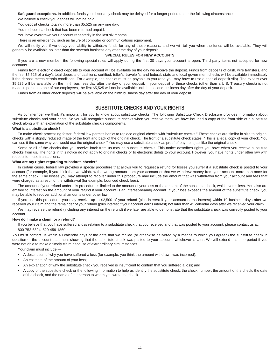**Safeguard exceptions.** In addition, funds you deposit by check may be delayed for a longer period under the following circumstances:

We believe a check you deposit will not be paid.

You deposit checks totaling more than \$5,525 on any one day.

You redeposit a check that has been returned unpaid.

You have overdrawn your account repeatedly in the last six months.

There is an emergency, such as failure of computer or communications equipment.

We will notify you if we delay your ability to withdraw funds for any of these reasons, and we will tell you when the funds will be available. They will generally be available no later than the seventh business day after the day of your deposit.

# **SPECIAL RULES FOR NEW ACCOUNTS**

If you are a new member, the following special rules will apply during the first 30 days your account is open. Third party items not accepted for new accounts.

Funds from electronic direct deposits to your account will be available on the day we receive the deposit. Funds from deposits of cash, wire transfers, and the first \$5,525 of a day's total deposits of cashier's, certified, teller's, traveler's, and federal, state and local government checks will be available immediately if the deposit meets certain conditions. For example, the checks must be payable to you (and you may have to use a special deposit slip). The excess over \$5,525 will be available on the ninth business day after the day of your deposit. If your deposit of these checks (other than a U.S. Treasury check) is not made in person to one of our employees, the first \$5,525 will not be available until the second business day after the day of your deposit.

Funds from all other check deposits will be available on the ninth business day after the day of your deposit.

# $\overline{\phantom{a}}$  , and the contract of the contract of the contract of the contract of the contract of the contract of the contract of the contract of the contract of the contract of the contract of the contract of the contrac **SUBSTITUTE CHECKS AND YOUR RIGHTS**

As our member we think it's important for you to know about substitute checks. The following Substitute Check Disclosure provides information about substitute checks and your rights. So you will recognize substitute checks when you receive them, we have included a copy of the front side of a substitute check along with an explanation of the substitute check's components.

#### **What is a substitute check?**

To make check processing faster, federal law permits banks to replace original checks with "substitute checks." These checks are similar in size to original checks with a slightly reduced image of the front and back of the original check. The front of a substitute check states: "This is a legal copy of your check. You can use it the same way you would use the original check." You may use a substitute check as proof of payment just like the original check.

Some or all of the checks that you receive back from us may be substitute checks. This notice describes rights you have when you receive substitute checks from us. The rights in this notice do not apply to original checks or to electronic debits to your account. However, you have rights under other law with respect to those transactions.

#### **What are my rights regarding substitute checks?**

In certain cases, federal law provides a special procedure that allows you to request a refund for losses you suffer if a substitute check is posted to your account (for example, if you think that we withdrew the wrong amount from your account or that we withdrew money from your account more than once for the same check). The losses you may attempt to recover under this procedure may include the amount that was withdrawn from your account and fees that were charged as a result of the withdrawal (for example, bounced check fees).

The amount of your refund under this procedure is limited to the amount of your loss or the amount of the substitute check, whichever is less. You also are entitled to interest on the amount of your refund if your account is an interest-bearing account. If your loss exceeds the amount of the substitute check, you may be able to recover additional amounts under other law.

If you use this procedure, you may receive up to \$2,500 of your refund (plus interest if your account earns interest) within 10 business days after we received your claim and the remainder of your refund (plus interest if your account earns interest) not later than 45 calendar days after we received your claim.

We may reverse the refund (including any interest on the refund) if we later are able to demonstrate that the substitute check was correctly posted to your account.

#### **How do I make a claim for a refund?**

If you believe that you have suffered a loss relating to a substitute check that you received and that was posted to your account, please contact us at: 800-752-6394, 520-459-1860

You must contact us within 40 calendar days of the date that we mailed (or otherwise delivered by a means to which you agreed) the substitute check in question or the account statement showing that the substitute check was posted to your account, whichever is later. We will extend this time period if you were not able to make a timely claim because of extraordinary circumstances.

Your claim must include —

- A description of why you have suffered a loss (for example, you think the amount withdrawn was incorrect);
- An estimate of the amount of your loss;
- An explanation of why the substitute check you received is insufficient to confirm that you suffered a loss; and
- A copy of the substitute check or the following information to help us identify the substitute check: the check number, the amount of the check, the date of the check, and the name of the person to whom you wrote the check.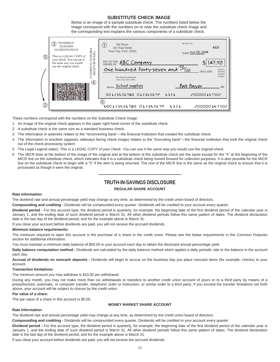# **SUBSTITUTE CHECK IMAGE**

Below is an image of a sample substitute check. The numbers listed below the image correspond with the numbers on or near the substitute check image and the corresponding text explains the various components of a substitute check.



These numbers correspond with the numbers on the Substitute Check Image:

- 1 An image of the original check appears in the upper right-hand corner of the substitute check.
- 2 A substitute check is the same size as a standard business check.
- 3 The information in asterisks relates to the "reconverting bank"—the financial institution that created the substitute check.
- 4 The information in brackets (appears sideways facing check image) relates to the "truncating bank"—the financial institution that took the original check out of the check processing system.
- 5 The Legal Legend states: *This is a LEGAL COPY of your check. You can use it the same way you would use the original check.*
- 6 The MICR lines at the bottom of the image of the original and at the bottom of the substitute check are the same except for the "4" at the beginning of the MICR line on the substitute check, which indicates that it is a substitute check being moved forward for collection purposes. It is also possible for the MICR line on the substitute check to begin with a "5" if the item is being returned. The rest of the MICR line is the same as the original check to ensure that it is processed as though it were the original.

# ————————————— **TRUTH-IN-SAVINGS DISCLOSURE**

# **REGULAR SHARE ACCOUNT**

#### **Rate Information:**

The dividend rate and annual percentage yield may change at any time, as determined by the credit union board of directors.

**Compounding and crediting -** Dividends will be compounded every quarter. Dividends will be credited to your account every quarter.

**Dividend period -** For this account type, the dividend period is quarterly, for example, the beginning date of the first dividend period of the calendar year is January 1, and the ending date of such dividend period is March 31. All other dividend periods follow this same pattern of dates. The dividend declaration date is the last day of the dividend period, and for the example above is March 31.

If you close your account before dividends are paid, you will not receive the accrued dividends.

#### **Minimum balance requirements:**

The minimum required to open this account is the purchase of a share in the credit union. Please see the bylaw requirements in the Common Features section for additional information.

You must maintain a minimum daily balance of \$50.00 in your account each day to obtain the disclosed annual percentage yield.

**Daily balance computation method -** Dividends are calculated by the daily balance method which applies a daily periodic rate to the balance in the account each day.

**Accrual of dividends on noncash deposits -** Dividends will begin to accrue on the business day you place noncash items (for example, checks) to your account.

# **Transaction limitations:**

The minimum amount you may withdraw is \$10.00 per withdrawal.

During any month, you may not make more than six withdrawals or transfers to another credit union account of yours or to a third party by means of a preauthorized, automatic, or computer transfer, telephonic order or instruction, or similar order to a third party. If you exceed the transfer limitations set forth above, your account will be subject to closure by the credit union.

# **Par value of a share:**

The par value of a share in this account is \$5.00.

# **MONEY MARKET SHARE ACCOUNT**

# **Rate Information:**

The dividend rate and annual percentage yield may change at any time, as determined by the credit union board of directors.

**Compounding and crediting -** Dividends will be compounded every quarter. Dividends will be credited to your account every quarter.

**Dividend period -** For this account type, the dividend period is quarterly, for example, the beginning date of the first dividend period of the calendar year is January 1, and the ending date of such dividend period is March 31. All other dividend periods follow this same pattern of dates. The dividend declaration date is the last day of the dividend period, and for the example above is March 31.

If you close your account before dividends are paid, you will not receive the accrued dividends.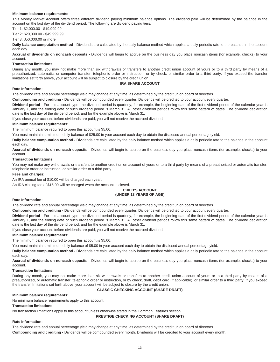## **Minimum balance requirements:**

This Money Market Account offers three different dividend paying minimum balance options. The dividend paid will be determined by the balance in the account on the last day of the dividend period. The following are dividend paying tiers.

Tier 1: \$2,000.00 - \$19,999.99

Tier 2: \$20,000.00 - \$49,999.99

Tier 3: \$50,000.00 or more

#### **Daily balance computation method -** Dividends are calculated by the daily balance method which applies a daily periodic rate to the balance in the account each day.

**Accrual of dividends on noncash deposits -** Dividends will begin to accrue on the business day you place noncash items (for example, checks) to your account.

#### **Transaction limitations:**

During any month, you may not make more than six withdrawals or transfers to another credit union account of yours or to a third party by means of a preauthorized, automatic, or computer transfer, telephonic order or instruction, or by check, or similar order to a third party. If you exceed the transfer limitations set forth above, your account will be subject to closure by the credit union.

# **IRA SHARE ACCOUNT**

## **Rate Information:**

The dividend rate and annual percentage yield may change at any time, as determined by the credit union board of directors.

**Compounding and crediting -** Dividends will be compounded every quarter. Dividends will be credited to your account every quarter.

**Dividend period -** For this account type, the dividend period is quarterly, for example, the beginning date of the first dividend period of the calendar year is January 1, and the ending date of such dividend period is March 31. All other dividend periods follow this same pattern of dates. The dividend declaration date is the last day of the dividend period, and for the example above is March 31.

If you close your account before dividends are paid, you will not receive the accrued dividends.

#### **Minimum balance requirements:**

The minimum balance required to open this account is \$5.00.

You must maintain a minimum daily balance of \$25.00 in your account each day to obtain the disclosed annual percentage yield.

**Daily balance computation method -** Dividends are calculated by the daily balance method which applies a daily periodic rate to the balance in the account each day.

**Accrual of dividends on noncash deposits -** Dividends will begin to accrue on the business day you place noncash items (for example, checks) to your account.

#### **Transaction limitations:**

You may not make any withdrawals or transfers to another credit union account of yours or to a third party by means of a preauthorized or automatic transfer, telephonic order or instruction, or similar order to a third party.

#### **Fees and charges:**

An IRA annual fee of \$10.00 will be charged each year.

An IRA closing fee of \$15.00 will be charged when the account is closed.

# **CHILD'S ACCOUNT (UNDER 13 YEARS OF AGE)**

# **Rate Information:**

The dividend rate and annual percentage yield may change at any time, as determined by the credit union board of directors.

**Compounding and crediting -** Dividends will be compounded every quarter. Dividends will be credited to your account every quarter.

**Dividend period -** For this account type, the dividend period is quarterly, for example, the beginning date of the first dividend period of the calendar year is January 1, and the ending date of such dividend period is March 31. All other dividend periods follow this same pattern of dates. The dividend declaration date is the last day of the dividend period, and for the example above is March 31.

If you close your account before dividends are paid, you will not receive the accrued dividends.

# **Minimum balance requirements:**

The minimum balance required to open this account is \$5.00.

You must maintain a minimum daily balance of \$5.00 in your account each day to obtain the disclosed annual percentage yield.

**Daily balance computation method -** Dividends are calculated by the daily balance method which applies a daily periodic rate to the balance in the account each day.

**Accrual of dividends on noncash deposits -** Dividends will begin to accrue on the business day you place noncash items (for example, checks) to your account.

#### **Transaction limitations:**

During any month, you may not make more than six withdrawals or transfers to another credit union account of yours or to a third party by means of a preauthorized, or automatic transfer, telephonic order or instruction, or by check, draft, debit card (if applicable), or similar order to a third party. If you exceed the transfer limitations set forth above, your account will be subject to closure by the credit union.

# **CLASSIC CHECKING ACCOUNT (SHARE DRAFT)**

# **Minimum balance requirements:**

No minimum balance requirements apply to this account.

# **Transaction limitations:**

No transaction limitations apply to this account unless otherwise stated in the Common Features section.

# **PRESTIGE CHECKING ACCOUNT (SHARE DRAFT)**

# **Rate Information:**

The dividend rate and annual percentage yield may change at any time, as determined by the credit union board of directors. **Compounding and crediting -** Dividends will be compounded every month. Dividends will be credited to your account every month.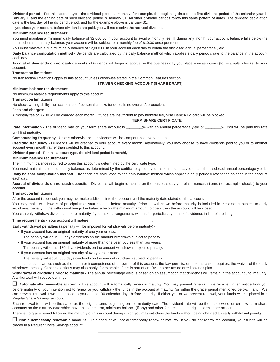**Dividend period -** For this account type, the dividend period is monthly, for example, the beginning date of the first dividend period of the calendar year is January 1, and the ending date of such dividend period is January 31. All other dividend periods follow this same pattern of dates. The dividend declaration date is the last day of the dividend period, and for the example above is January 31.

If you close your account before dividends are paid, you will not receive the accrued dividends.

# **Minimum balance requirements:**

You must maintain a minimum daily balance of \$2,000.00 in your account to avoid a monthly fee. If, during any month, your account balance falls below the required minimum daily balance, your account will be subject to a monthly fee of \$10.00 once per month.

You must maintain a minimum daily balance of \$2,000.00 in your account each day to obtain the disclosed annual percentage yield.

**Daily balance computation method -** Dividends are calculated by the daily balance method which applies a daily periodic rate to the balance in the account each day.

**Accrual of dividends on noncash deposits -** Dividends will begin to accrue on the business day you place noncash items (for example, checks) to your account.

# **Transaction limitations:**

No transaction limitations apply to this account unless otherwise stated in the Common Features section.

# **STRIVER CHECKING ACCOUNT (SHARE DRAFT)**

#### **Minimum balance requirements:**

No minimum balance requirements apply to this account.

#### **Transaction limitations:**

No check-writing ability, no acceptance of personal checks for deposit, no overdraft protection.

# **Fees and charges:**

A monthly fee of \$6.00 will be charged each month. If funds are insufficient to pay monthly fee, Visa Debit/ATM card will be blocked.

# **————————— TERM SHARE CERTIFICATE**

Rate Information - The dividend rate on your term share account is \_\_\_\_\_\_\_\_% with an annual percentage yield of \_\_\_\_\_\_\_\_%. You will be paid this rate until first maturity.

**Compounding frequency -** Unless otherwise paid, dividends will be compounded every month.

**Crediting frequency -** Dividends will be credited to your account every month. Alternatively, you may choose to have dividends paid to you or to another account every month rather than credited to this account.

**Dividend period -** For this account type, the dividend period is monthly.

# **Minimum balance requirements:**

The minimum balance required to open this account is determined by the certificate type.

You must maintain a minimum daily balance, as determined by the certificate type, in your account each day to obtain the disclosed annual percentage yield.

**Daily balance computation method -** Dividends are calculated by the daily balance method which applies a daily periodic rate to the balance in the account each day.

**Accrual of dividends on noncash deposits -** Dividends will begin to accrue on the business day you place noncash items (for example, checks) to your account.

#### **Transaction limitations:**

After the account is opened, you may not make additions into the account until the maturity date stated on the account.

You may make withdrawals of principal from your account before maturity. Principal withdrawn before maturity is included in the amount subject to early withdrawal penalty. If the withdrawal brings the balance below the minimum amount to open, then the account will be closed.

You can only withdraw dividends before maturity if you make arrangements with us for periodic payments of dividends in lieu of crediting.

**Time requirements - Your account will mature** 

**Early withdrawal penalties** (a penalty will be imposed for withdrawals before maturity) -

- If your account has an original maturity of one year or less:
	- The penalty will equal 90 days dividends on the amount withdrawn subject to penalty.
- If your account has an original maturity of more than one year, but less than two years: The penalty will equal 180 days dividends on the amount withdrawn subject to penalty.
- If your account has an original maturity of two years or more:
	- The penalty will equal 365 days dividends on the amount withdrawn subject to penalty.

In certain circumstances such as the death or incompetence of an owner of this account, the law permits, or in some cases requires, the waiver of the early withdrawal penalty. Other exceptions may also apply, for example, if this is part of an IRA or other tax-deferred savings plan.

**Withdrawal of dividends prior to maturity -** The annual percentage yield is based on an assumption that dividends will remain in the account until maturity. A withdrawal will reduce earnings.

□ **Automatically renewable account -** This account will automatically renew at maturity. You may prevent renewal if we receive written notice from you before maturity of your intention not to renew or you withdraw the funds in the account at maturity (or within the grace period mentioned below, if any). We can prevent renewal if we mail notice to you at least 30 calendar days before maturity. If either you or we prevent renewal, your funds will be placed in a Regular Share Savings account.

Each renewal term will be the same as the original term, beginning on the maturity date. The dividend rate will be the same we offer on new term share accounts on the maturity date which have the same term, minimum balance (if any) and other features as the original term share account.

There is no grace period following the maturity of this account during which you may withdraw the funds without being charged an early withdrawal penalty.

□ **Non-automatically renewable account** - This account will not automatically renew at maturity. If you do not renew the account, your funds will be placed in a Regular Share Savings account.

—————————————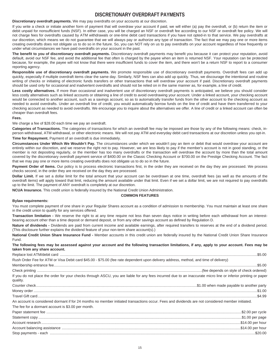# **DISCRETIONARY OVERDRAFT PAYMENTS**

#### **Discretionary overdraft payments.** We may pay overdrafts on your accounts at our discretion.

If you write a check or initiate another form of payment that will overdraw your account if paid, we will either (a) pay the overdraft, or (b) return the item or debit unpaid for nonsufficient funds (NSF). In either case, you will be charged an NSF or overdraft fee according to our NSF or overdraft fee policy. We will not charge fees for overdrafts caused by ATM withdrawals or one-time debit card transactions if you have not opted-in to that service. We pay overdrafts at our discretion, which means we do not guarantee that we will always pay or authorize any type of transaction. The fact that we may pay one or more items creating overdrafts does not obligate us to do so in the future. So, you can NOT rely on us to pay overdrafts on your account regardless of how frequently or under what circumstances we have paid overdrafts on your account in the past.

**The benefit to you of discretionary overdraft payments.** Discretionary overdraft payments may benefit you because it can protect your reputation, avoid default, avoid our NSF fee, and avoid the additional fee that often is charged by the payee when an item is returned NSF. Your reputation can be protected because, for example, the payee will not know that there were insufficient funds to cover the item, and there won't be a return NSF to report to a consumer reporting agency.

Responsible use of discretionary overdraft payments. We promote responsible use of discretionary overdraft payments. Overdraft fees can add up quickly, especially if multiple overdraft items clear the same day. Similarly, NSF fees can also add up quickly. Thus, we discourage the intentional and routine writing of checks or initiating of electronic funds transfers or other transactions that will overdraw your account if paid. Discretionary overdraft payments should be used only for occasional and inadvertent overdrafts and should not be relied on in the same manner as, for example, a line of credit.

Less costly alternatives. If more than occasional and inadvertent use of discretionary overdraft payments is anticipated, we believe you should consider less costly alternatives such as linked accounts or obtaining a line of credit to avoid overdrawing your account. Under a linked account, your checking account would be connected to another account, such as a savings account, so as to automatically transfer funds from the other account to the checking account as needed to avoid overdrafts. Under an overdraft line of credit, you would automatically borrow funds on the line of credit and have them transferred to your checking account as needed to avoid overdrafts. We encourage you to inquire about the alternatives we offer. A line of credit or a linked account can often be cheaper than overdraft fees.

#### **Fees.**

We charge a fee of \$28.00 each time we pay an overdraft.

**Categories of Transactions.** The categories of transactions for which an overdraft fee may be imposed are those by any of the following means: check, inperson withdrawal, ATM withdrawal, or other electronic means. We will not pay ATM and everyday debit card transactions at our discretion unless you opt-in. **Time for Repayment.** Payment of an overdraft is due immediately.

**Circumstances Under Which We Wouldn't Pay.** The circumstances under which we wouldn't pay an item or debit that would overdraw your account are entirely within our discretion, and we reserve the right not to pay. However, we are less likely to pay if the member's account is not in good standing, or the member is not depositing regularly, or the member has too many overdrafts or the transaction will overdraw the account by more than the total amount covered by the discretionary overdraft payment service of \$400.00 on the Classic Checking Account or \$700.00 on the Prestige Checking Account. The fact that we may pay one or more items creating overdrafts does not obligate us to do so in the future.

Payment Order of Items. Our policy is to process electronic transactions first, in the order they are received on the day they are processed. We process checks second, in the order they are received on the day they are processed.

Dollar Limit. If we set a dollar limit for the total amount that your account can be overdrawn at one time, overdraft fees (as well as the amounts of the overdraft items) will apply toward that limit, reducing the amount available under that limit. Even if we set a dollar limit, we are not required to pay overdrafts up to the limit. The payment of ANY overdraft is completely at our discretion.

**NCUA Insurance.** This credit union is federally insured by the National Credit Union Administration.

#### **COMMON FEATURES**

#### **Bylaw requirements:**

You must complete payment of one share in your Regular Shares account as a condition of admission to membership. You must maintain at least one share in the credit union to qualify for any services offered.

**Transaction limitation -** We reserve the right to at any time require not less than seven days notice in writing before each withdrawal from an interestbearing account other than a time deposit or demand deposit, or from any other savings account as defined by Regulation D.

Nature of dividends - Dividends are paid from current income and available earnings, after required transfers to reserves at the end of a dividend period. (This disclosure further explains the dividend feature of your non-term share account(s).)

**National Credit Union Share Insurance Fund -** Member accounts in this credit union are federally insured by the National Credit Union Share Insurance Fund.

**The following fees may be assessed against your account and the following transaction limitations, if any, apply to your account. Fees may be taken from any share account.** 

| Rush Order Fee for ATM or Visa Debit card \$45.00 - \$75.00 (fee rate dependent upon delivery address, method, and time of delivery)                                       |  |
|----------------------------------------------------------------------------------------------------------------------------------------------------------------------------|--|
|                                                                                                                                                                            |  |
|                                                                                                                                                                            |  |
| If you do not place the order for your checks through ASCU, you are liable for any fees incurred due to an inaccurate micro line or inferior printing or paper<br>quality. |  |
|                                                                                                                                                                            |  |
|                                                                                                                                                                            |  |
|                                                                                                                                                                            |  |
| An account is considered dormant if for 24 months no member initiated transactions occur. Fees and dividends are not considered member initiated.                          |  |
| The fee for a dormant account is \$3.00 per month.                                                                                                                         |  |
|                                                                                                                                                                            |  |
|                                                                                                                                                                            |  |
|                                                                                                                                                                            |  |
|                                                                                                                                                                            |  |
|                                                                                                                                                                            |  |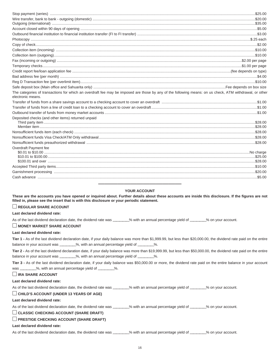| The categories of transactions for which an overdraft fee may be imposed are those by any of the following means: on us check, ATM withdrawal, or other<br>electronic means. |  |
|------------------------------------------------------------------------------------------------------------------------------------------------------------------------------|--|
|                                                                                                                                                                              |  |
|                                                                                                                                                                              |  |
|                                                                                                                                                                              |  |
| Deposited checks (and other items) returned unpaid                                                                                                                           |  |
|                                                                                                                                                                              |  |
|                                                                                                                                                                              |  |
|                                                                                                                                                                              |  |
|                                                                                                                                                                              |  |
|                                                                                                                                                                              |  |
| Overdraft Payment fee                                                                                                                                                        |  |
|                                                                                                                                                                              |  |
|                                                                                                                                                                              |  |
|                                                                                                                                                                              |  |
|                                                                                                                                                                              |  |
|                                                                                                                                                                              |  |
|                                                                                                                                                                              |  |
|                                                                                                                                                                              |  |

# **YOUR ACCOUNT**

**These are the accounts you have opened or inquired about. Further details about these accounts are inside this disclosure. If the figures are not filled in, please see the insert that is with this disclosure or your periodic statement.** 

# □ **REGULAR SHARE ACCOUNT**

**Last declared dividend rate:**

As of the last dividend declaration date, the dividend rate was \_\_\_\_\_\_\_% with an annual percentage yield of \_\_\_\_\_\_\_% on your account.

# □ **MONEY MARKET SHARE ACCOUNT**

## **Last declared dividend rate:**

**Tier 1 -** As of the last dividend declaration date, if your daily balance was more than \$1,999.99, but less than \$20,000.00, the dividend rate paid on the entire balance in your account was \_\_\_\_\_\_\_%, with an annual percentage yield of \_\_\_\_\_\_\_%.

**Tier 2 -** As of the last dividend declaration date, if your daily balance was more than \$19,999.99, but less than \$50,000.00, the dividend rate paid on the entire balance in your account was \_\_\_\_\_\_\_\_%, with an annual percentage yield of \_\_\_\_\_\_\_%.

**Tier 3 -** As of the last dividend declaration date, if your daily balance was \$50,000.00 or more, the dividend rate paid on the entire balance in your account was \_\_\_\_\_\_\_\_%, with an annual percentage yield of \_\_\_\_\_\_\_\_%.

# □ **IRA SHARE ACCOUNT**

# **Last declared dividend rate:**

As of the last dividend declaration date, the dividend rate was \_\_\_\_\_\_\_% with an annual percentage yield of \_\_\_\_\_\_\_% on your account.

# □ **CHILD'S ACCOUNT (UNDER 13 YEARS OF AGE)**

#### **Last declared dividend rate:**

As of the last dividend declaration date, the dividend rate was \_\_\_\_\_\_\_% with an annual percentage yield of \_\_\_\_\_\_\_% on your account.

# □ **CLASSIC CHECKING ACCOUNT (SHARE DRAFT)**

# □ **PRESTIGE CHECKING ACCOUNT (SHARE DRAFT)**

#### **Last declared dividend rate:**

As of the last dividend declaration date, the dividend rate was \_\_\_\_\_\_\_% with an annual percentage yield of \_\_\_\_\_\_\_% on your account.